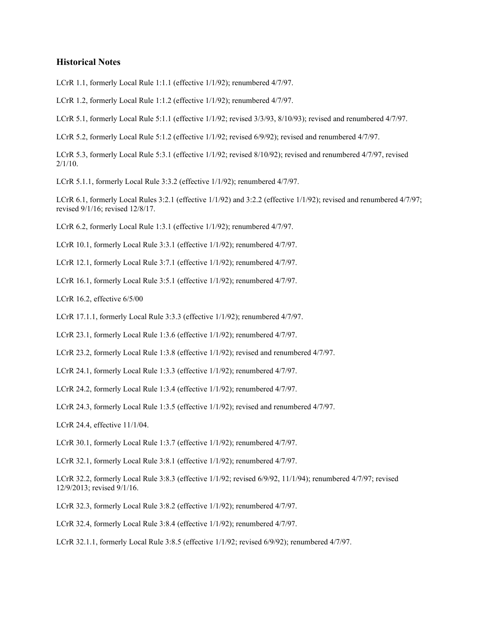## **Historical Notes**

LCrR 1.1, formerly Local Rule 1:1.1 (effective 1/1/92); renumbered 4/7/97.

LCrR 1.2, formerly Local Rule 1:1.2 (effective 1/1/92); renumbered 4/7/97.

LCrR 5.1, formerly Local Rule 5:1.1 (effective 1/1/92; revised 3/3/93, 8/10/93); revised and renumbered 4/7/97.

LCrR 5.2, formerly Local Rule 5:1.2 (effective 1/1/92; revised 6/9/92); revised and renumbered 4/7/97.

LCrR 5.3, formerly Local Rule 5:3.1 (effective 1/1/92; revised 8/10/92); revised and renumbered 4/7/97, revised  $2/1/10$ .

LCrR 5.1.1, formerly Local Rule 3:3.2 (effective 1/1/92); renumbered 4/7/97.

LCrR 6.1, formerly Local Rules 3:2.1 (effective 1/1/92) and 3:2.2 (effective 1/1/92); revised and renumbered 4/7/97; revised 9/1/16; revised 12/8/17.

LCrR 6.2, formerly Local Rule 1:3.1 (effective 1/1/92); renumbered 4/7/97.

LCrR 10.1, formerly Local Rule 3:3.1 (effective 1/1/92); renumbered 4/7/97.

LCrR 12.1, formerly Local Rule 3:7.1 (effective 1/1/92); renumbered 4/7/97.

LCrR 16.1, formerly Local Rule 3:5.1 (effective 1/1/92); renumbered 4/7/97.

LCrR 16.2, effective 6/5/00

LCrR 17.1.1, formerly Local Rule 3:3.3 (effective 1/1/92); renumbered 4/7/97.

LCrR 23.1, formerly Local Rule 1:3.6 (effective 1/1/92); renumbered 4/7/97.

LCrR 23.2, formerly Local Rule 1:3.8 (effective 1/1/92); revised and renumbered 4/7/97.

LCrR 24.1, formerly Local Rule 1:3.3 (effective 1/1/92); renumbered 4/7/97.

LCrR 24.2, formerly Local Rule 1:3.4 (effective 1/1/92); renumbered 4/7/97.

LCrR 24.3, formerly Local Rule 1:3.5 (effective 1/1/92); revised and renumbered 4/7/97.

LCrR 24.4, effective 11/1/04.

LCrR 30.1, formerly Local Rule 1:3.7 (effective 1/1/92); renumbered 4/7/97.

LCrR 32.1, formerly Local Rule 3:8.1 (effective 1/1/92); renumbered 4/7/97.

LCrR 32.2, formerly Local Rule 3:8.3 (effective 1/1/92; revised 6/9/92, 11/1/94); renumbered 4/7/97; revised 12/9/2013; revised 9/1/16.

LCrR 32.3, formerly Local Rule 3:8.2 (effective 1/1/92); renumbered 4/7/97.

LCrR 32.4, formerly Local Rule 3:8.4 (effective 1/1/92); renumbered 4/7/97.

LCrR 32.1.1, formerly Local Rule 3:8.5 (effective 1/1/92; revised 6/9/92); renumbered 4/7/97.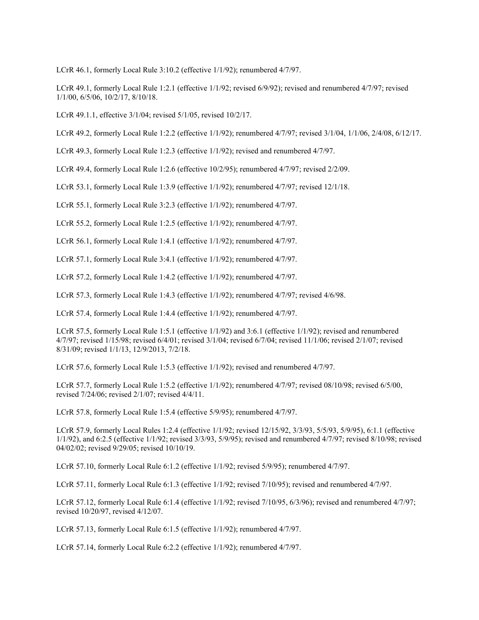LCrR 46.1, formerly Local Rule 3:10.2 (effective 1/1/92); renumbered 4/7/97.

LCrR 49.1, formerly Local Rule 1:2.1 (effective 1/1/92; revised 6/9/92); revised and renumbered 4/7/97; revised 1/1/00, 6/5/06, 10/2/17, 8/10/18.

LCrR 49.1.1, effective 3/1/04; revised 5/1/05, revised 10/2/17.

LCrR 49.2, formerly Local Rule 1:2.2 (effective 1/1/92); renumbered 4/7/97; revised 3/1/04, 1/1/06, 2/4/08, 6/12/17.

LCrR 49.3, formerly Local Rule 1:2.3 (effective 1/1/92); revised and renumbered 4/7/97.

LCrR 49.4, formerly Local Rule 1:2.6 (effective 10/2/95); renumbered 4/7/97; revised 2/2/09.

LCrR 53.1, formerly Local Rule 1:3.9 (effective 1/1/92); renumbered 4/7/97; revised 12/1/18.

LCrR 55.1, formerly Local Rule 3:2.3 (effective 1/1/92); renumbered 4/7/97.

LCrR 55.2, formerly Local Rule 1:2.5 (effective 1/1/92); renumbered 4/7/97.

LCrR 56.1, formerly Local Rule 1:4.1 (effective 1/1/92); renumbered 4/7/97.

LCrR 57.1, formerly Local Rule 3:4.1 (effective 1/1/92); renumbered 4/7/97.

LCrR 57.2, formerly Local Rule 1:4.2 (effective 1/1/92); renumbered 4/7/97.

LCrR 57.3, formerly Local Rule 1:4.3 (effective 1/1/92); renumbered 4/7/97; revised 4/6/98.

LCrR 57.4, formerly Local Rule 1:4.4 (effective 1/1/92); renumbered 4/7/97.

LCrR 57.5, formerly Local Rule 1:5.1 (effective 1/1/92) and 3:6.1 (effective 1/1/92); revised and renumbered 4/7/97; revised 1/15/98; revised 6/4/01; revised 3/1/04; revised 6/7/04; revised 11/1/06; revised 2/1/07; revised 8/31/09; revised 1/1/13, 12/9/2013, 7/2/18.

LCrR 57.6, formerly Local Rule 1:5.3 (effective 1/1/92); revised and renumbered 4/7/97.

LCrR 57.7, formerly Local Rule 1:5.2 (effective 1/1/92); renumbered 4/7/97; revised 08/10/98; revised 6/5/00, revised 7/24/06; revised 2/1/07; revised 4/4/11.

LCrR 57.8, formerly Local Rule 1:5.4 (effective 5/9/95); renumbered 4/7/97.

LCrR 57.9, formerly Local Rules 1:2.4 (effective 1/1/92; revised 12/15/92, 3/3/93, 5/5/93, 5/9/95), 6:1.1 (effective 1/1/92), and 6:2.5 (effective 1/1/92; revised 3/3/93, 5/9/95); revised and renumbered 4/7/97; revised 8/10/98; revised 04/02/02; revised 9/29/05; revised 10/10/19.

LCrR 57.10, formerly Local Rule 6:1.2 (effective 1/1/92; revised 5/9/95); renumbered 4/7/97.

LCrR 57.11, formerly Local Rule 6:1.3 (effective 1/1/92; revised 7/10/95); revised and renumbered 4/7/97.

LCrR 57.12, formerly Local Rule 6:1.4 (effective 1/1/92; revised 7/10/95, 6/3/96); revised and renumbered 4/7/97; revised 10/20/97, revised 4/12/07.

LCrR 57.13, formerly Local Rule 6:1.5 (effective 1/1/92); renumbered 4/7/97.

LCrR 57.14, formerly Local Rule 6:2.2 (effective 1/1/92); renumbered 4/7/97.